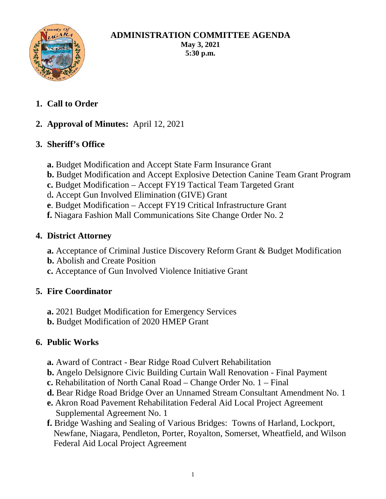

#### **ADMINISTRATION COMMITTEE AGENDA May 3, 2021 5:30 p.m.**

**1. Call to Order**

# **2. Approval of Minutes:** April 12, 2021

# **3. Sheriff's Office**

- **a.** Budget Modification and Accept State Farm Insurance Grant
- **b.** Budget Modification and Accept Explosive Detection Canine Team Grant Program
- **c.** Budget Modification Accept FY19 Tactical Team Targeted Grant
- d**.** Accept Gun Involved Elimination (GIVE) Grant
- **e**. Budget Modification Accept FY19 Critical Infrastructure Grant
- **f.** Niagara Fashion Mall Communications Site Change Order No. 2

## **4. District Attorney**

- **a.** Acceptance of Criminal Justice Discovery Reform Grant & Budget Modification
- **b.** Abolish and Create Position
- **c.** Acceptance of Gun Involved Violence Initiative Grant

## **5. Fire Coordinator**

- **a.** 2021 Budget Modification for Emergency Services
- **b.** Budget Modification of 2020 HMEP Grant

# **6. Public Works**

- **a.** Award of Contract Bear Ridge Road Culvert Rehabilitation
- **b.** Angelo Delsignore Civic Building Curtain Wall Renovation Final Payment
- **c.** Rehabilitation of North Canal Road Change Order No. 1 Final
- **d.** Bear Ridge Road Bridge Over an Unnamed Stream Consultant Amendment No. 1
- **e.** Akron Road Pavement Rehabilitation Federal Aid Local Project Agreement Supplemental Agreement No. 1
- **f.** Bridge Washing and Sealing of Various Bridges: Towns of Harland, Lockport, Newfane, Niagara, Pendleton, Porter, Royalton, Somerset, Wheatfield, and Wilson Federal Aid Local Project Agreement